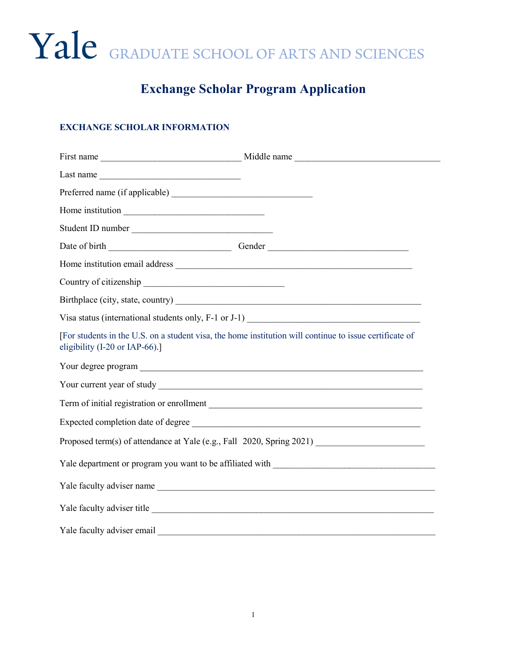# Yale GRADUATE SCHOOL OF ARTS AND SCIENCES

## **Exchange Scholar Program Application**

### **EXCHANGE SCHOLAR INFORMATION**

| Last name                                                                                                                                 |  |  |
|-------------------------------------------------------------------------------------------------------------------------------------------|--|--|
|                                                                                                                                           |  |  |
| Home institution                                                                                                                          |  |  |
| Student ID number                                                                                                                         |  |  |
|                                                                                                                                           |  |  |
|                                                                                                                                           |  |  |
|                                                                                                                                           |  |  |
|                                                                                                                                           |  |  |
|                                                                                                                                           |  |  |
| [For students in the U.S. on a student visa, the home institution will continue to issue certificate of<br>eligibility (I-20 or IAP-66).] |  |  |
|                                                                                                                                           |  |  |
|                                                                                                                                           |  |  |
|                                                                                                                                           |  |  |
| Expected completion date of degree                                                                                                        |  |  |
|                                                                                                                                           |  |  |
|                                                                                                                                           |  |  |
|                                                                                                                                           |  |  |
| Yale faculty adviser title                                                                                                                |  |  |
| Yale faculty adviser email                                                                                                                |  |  |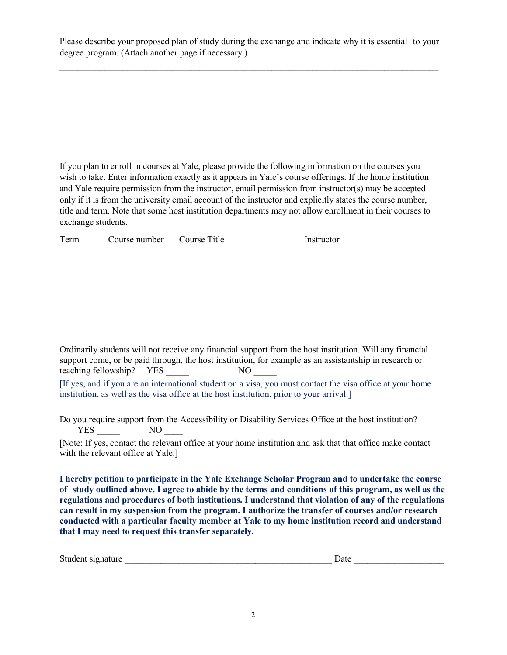Please describe your proposed plan of study during the exchange and indicate why it is essential to your degree program. (Attach another page if necessary.)

 $\_$  , and the set of the set of the set of the set of the set of the set of the set of the set of the set of the set of the set of the set of the set of the set of the set of the set of the set of the set of the set of th

If you plan to enroll in courses at Yale, please provide the following information on the courses you wish to take. Enter information exactly as it appears in Yale's course offerings. If the home institution and Yale require permission from the instructor, email permission from instructor(s) may be accepted only if it is from the university email account of the instructor and explicitly states the course number, title and term. Note that some host institution departments may not allow enrollment in their courses to exchange students.

 $\_$  , and the set of the set of the set of the set of the set of the set of the set of the set of the set of the set of the set of the set of the set of the set of the set of the set of the set of the set of the set of th

Term Course number Course Title Instructor

Ordinarily students will not receive any financial support from the host institution. Will any financial support come, or be paid through, the host institution, for example as an assistantship in research or teaching fellowship? YES \_\_\_\_\_ NO \_\_\_\_\_ [If yes, and if you are an international student on a visa, you must contact the visa office at your home institution, as well as the visa office at the host institution, prior to your arrival.]

Do you require support from the Accessibility or Disability Services Office at the host institution? YES NO

[Note: If yes, contact the relevant office at your home institution and ask that that office make contact with the relevant office at Yale.]

**I hereby petition to participate in the Yale Exchange Scholar Program and to undertake the course of study outlined above. I agree to abide by the terms and conditions of this program, as well as the regulations and procedures of both institutions. I understand that violation of any of the regulations can result in my suspension from the program. I authorize the transfer of courses and/or research conducted with a particular faculty member at Yale to my home institution record and understand that I may need to request this transfer separately.** 

| Student signature | Jate |  |
|-------------------|------|--|
|                   |      |  |